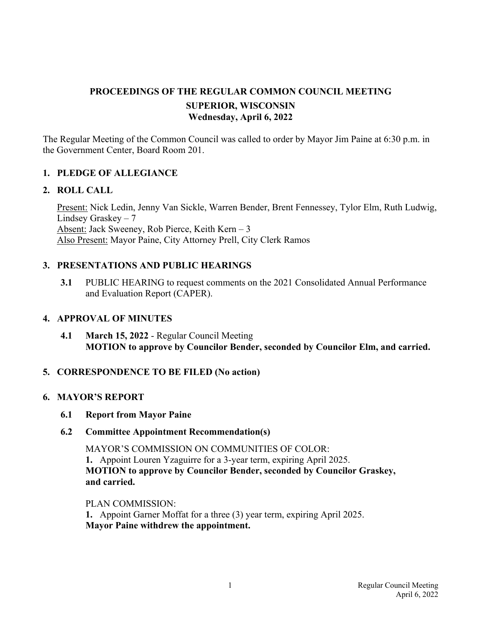# **PROCEEDINGS OF THE REGULAR COMMON COUNCIL MEETING SUPERIOR, WISCONSIN Wednesday, April 6, 2022**

The Regular Meeting of the Common Council was called to order by Mayor Jim Paine at 6:30 p.m. in the Government Center, Board Room 201.

# **1. PLEDGE OF ALLEGIANCE**

#### **2. ROLL CALL**

Present: Nick Ledin, Jenny Van Sickle, Warren Bender, Brent Fennessey, Tylor Elm, Ruth Ludwig, Lindsey Graskey – 7 Absent: Jack Sweeney, Rob Pierce, Keith Kern – 3 Also Present: Mayor Paine, City Attorney Prell, City Clerk Ramos

## **3. PRESENTATIONS AND PUBLIC HEARINGS**

**3.1** PUBLIC HEARING to request comments on the 2021 Consolidated Annual Performance and Evaluation Report (CAPER).

#### **4. APPROVAL OF MINUTES**

**4.1 March 15, 2022** - Regular Council Meeting **MOTION to approve by Councilor Bender, seconded by Councilor Elm, and carried.**

## **5. CORRESPONDENCE TO BE FILED (No action)**

#### **6. MAYOR'S REPORT**

 **6.1 Report from Mayor Paine** 

## **6.2 Committee Appointment Recommendation(s)**

 MAYOR'S COMMISSION ON COMMUNITIES OF COLOR:  **1.** Appoint Louren Yzaguirre for a 3-year term, expiring April 2025. **MOTION to approve by Councilor Bender, seconded by Councilor Graskey, and carried.** 

#### PLAN COMMISSION:

 **1.** Appoint Garner Moffat for a three (3) year term, expiring April 2025.  **Mayor Paine withdrew the appointment.**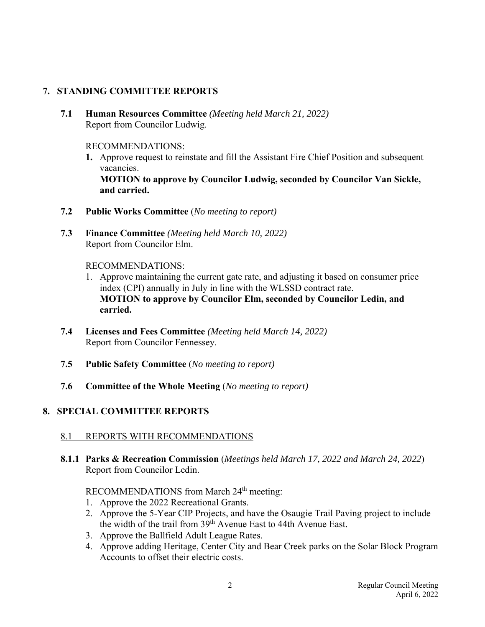# **7. STANDING COMMITTEE REPORTS**

 **7.1 Human Resources Committee** *(Meeting held March 21, 2022)* Report from Councilor Ludwig.

## RECOMMENDATIONS:

- **1.** Approve request to reinstate and fill the Assistant Fire Chief Position and subsequent vacancies.  **MOTION to approve by Councilor Ludwig, seconded by Councilor Van Sickle, and carried.**
- **7.2 Public Works Committee** (*No meeting to report)*
- **7.3 Finance Committee** *(Meeting held March 10, 2022)* Report from Councilor Elm.

## RECOMMENDATIONS:

- 1. Approve maintaining the current gate rate, and adjusting it based on consumer price index (CPI) annually in July in line with the WLSSD contract rate. **MOTION to approve by Councilor Elm, seconded by Councilor Ledin, and carried.**
- **7.4 Licenses and Fees Committee** *(Meeting held March 14, 2022)* Report from Councilor Fennessey.
- **7.5 Public Safety Committee** (*No meeting to report)*
- **7.6 Committee of the Whole Meeting** (*No meeting to report)*

# **8. SPECIAL COMMITTEE REPORTS**

# 8.1 REPORTS WITH RECOMMENDATIONS

 **8.1.1 Parks & Recreation Commission** (*Meetings held March 17, 2022 and March 24, 2022*) Report from Councilor Ledin.

# RECOMMENDATIONS from March 24<sup>th</sup> meeting:

- 1. Approve the 2022 Recreational Grants.
- 2. Approve the 5-Year CIP Projects, and have the Osaugie Trail Paving project to include the width of the trail from 39th Avenue East to 44th Avenue East.
- 3. Approve the Ballfield Adult League Rates.
- 4. Approve adding Heritage, Center City and Bear Creek parks on the Solar Block Program Accounts to offset their electric costs.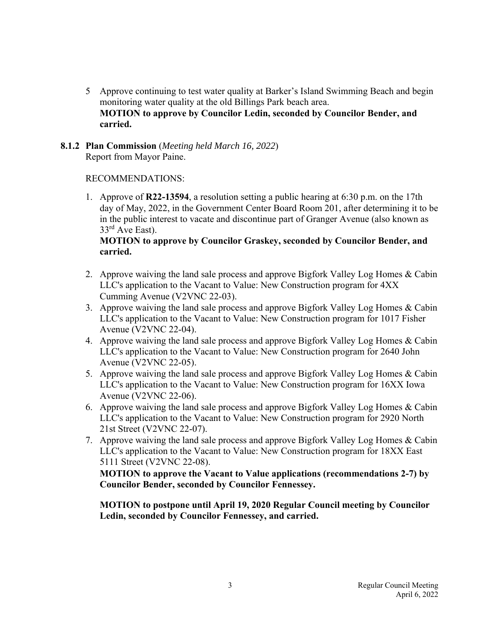5 Approve continuing to test water quality at Barker's Island Swimming Beach and begin monitoring water quality at the old Billings Park beach area.  **MOTION to approve by Councilor Ledin, seconded by Councilor Bender, and carried.**

### **8.1.2 Plan Commission** (*Meeting held March 16, 2022*) Report from Mayor Paine.

## RECOMMENDATIONS:

 1. Approve of **R22-13594**, a resolution setting a public hearing at 6:30 p.m. on the 17th day of May, 2022, in the Government Center Board Room 201, after determining it to be in the public interest to vacate and discontinue part of Granger Avenue (also known as 33<sup>rd</sup> Ave East).

## **MOTION to approve by Councilor Graskey, seconded by Councilor Bender, and carried.**

- 2. Approve waiving the land sale process and approve Bigfork Valley Log Homes & Cabin LLC's application to the Vacant to Value: New Construction program for 4XX Cumming Avenue (V2VNC 22-03).
- 3. Approve waiving the land sale process and approve Bigfork Valley Log Homes & Cabin LLC's application to the Vacant to Value: New Construction program for 1017 Fisher Avenue (V2VNC 22-04).
- 4. Approve waiving the land sale process and approve Bigfork Valley Log Homes & Cabin LLC's application to the Vacant to Value: New Construction program for 2640 John Avenue (V2VNC 22-05).
- 5. Approve waiving the land sale process and approve Bigfork Valley Log Homes & Cabin LLC's application to the Vacant to Value: New Construction program for 16XX Iowa Avenue (V2VNC 22-06).
- 6. Approve waiving the land sale process and approve Bigfork Valley Log Homes & Cabin LLC's application to the Vacant to Value: New Construction program for 2920 North 21st Street (V2VNC 22-07).
- 7. Approve waiving the land sale process and approve Bigfork Valley Log Homes & Cabin LLC's application to the Vacant to Value: New Construction program for 18XX East 5111 Street (V2VNC 22-08).

 **MOTION to approve the Vacant to Value applications (recommendations 2-7) by Councilor Bender, seconded by Councilor Fennessey.** 

 **MOTION to postpone until April 19, 2020 Regular Council meeting by Councilor Ledin, seconded by Councilor Fennessey, and carried.**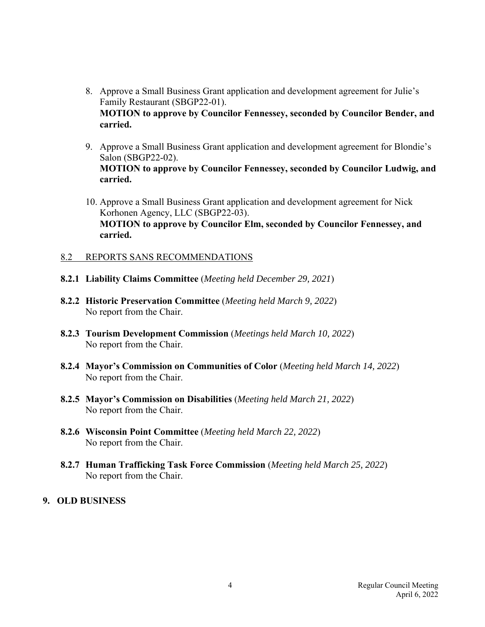- 8. Approve a Small Business Grant application and development agreement for Julie's Family Restaurant (SBGP22-01).  **MOTION to approve by Councilor Fennessey, seconded by Councilor Bender, and carried.**
- 9. Approve a Small Business Grant application and development agreement for Blondie's Salon (SBGP22-02). **MOTION to approve by Councilor Fennessey, seconded by Councilor Ludwig, and carried.**
- 10. Approve a Small Business Grant application and development agreement for Nick Korhonen Agency, LLC (SBGP22-03). **MOTION to approve by Councilor Elm, seconded by Councilor Fennessey, and carried.**

#### 8.2 REPORTS SANS RECOMMENDATIONS

- **8.2.1 Liability Claims Committee** (*Meeting held December 29, 2021*)
- **8.2.2 Historic Preservation Committee** (*Meeting held March 9, 2022*) No report from the Chair.
- **8.2.3 Tourism Development Commission** (*Meetings held March 10, 2022*) No report from the Chair.
- **8.2.4 Mayor's Commission on Communities of Color** (*Meeting held March 14, 2022*) No report from the Chair.
- **8.2.5 Mayor's Commission on Disabilities** (*Meeting held March 21, 2022*) No report from the Chair.
- **8.2.6 Wisconsin Point Committee** (*Meeting held March 22, 2022*) No report from the Chair.
- **8.2.7 Human Trafficking Task Force Commission** (*Meeting held March 25, 2022*) No report from the Chair.

## **9. OLD BUSINESS**